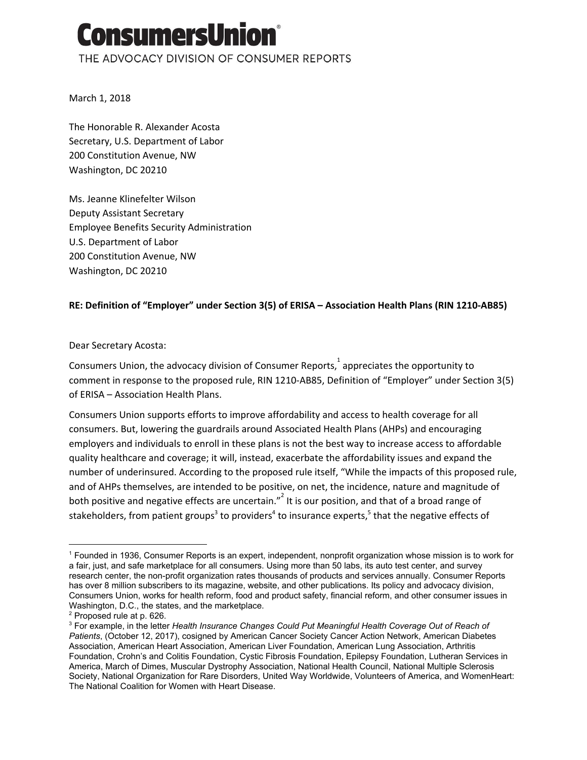# onsumersUni THE ADVOCACY DIVISION OF CONSUMER REPORTS

March 1, 2018

The Honorable R. Alexander Acosta Secretary, U.S. Department of Labor 200 Constitution Avenue, NW Washington, DC 20210

Ms. Jeanne Klinefelter Wilson Deputy Assistant Secretary Employee Benefits Security Administration U.S. Department of Labor 200 Constitution Avenue, NW Washington, DC 20210

### **RE: Definition of "Employer" under Section 3(5) of ERISA – Association Health Plans (RIN 1210-AB85)**

#### Dear Secretary Acosta:

Consumers Union, the advocacy division of Consumer Reports,  $\frac{1}{1}$  appreciates the opportunity to comment in response to the proposed rule, RIN 1210-AB85, Definition of "Employer" under Section 3(5) of ERISA – Association Health Plans.

Consumers Union supports efforts to improve affordability and access to health coverage for all consumers. But, lowering the guardrails around Associated Health Plans (AHPs) and encouraging employers and individuals to enroll in these plans is not the best way to increase access to affordable quality healthcare and coverage; it will, instead, exacerbate the affordability issues and expand the number of underinsured. According to the proposed rule itself, "While the impacts of this proposed rule, and of AHPs themselves, are intended to be positive, on net, the incidence, nature and magnitude of both positive and negative effects are uncertain."<sup>2</sup> It is our position, and that of a broad range of stakeholders, from patient groups<sup>3</sup> to providers<sup>4</sup> to insurance experts,<sup>5</sup> that the negative effects of

<sup>1</sup> Founded in 1936, Consumer Reports is an expert, independent, nonprofit organization whose mission is to work for a fair, just, and safe marketplace for all consumers. Using more than 50 labs, its auto test center, and survey research center, the non-profit organization rates thousands of products and services annually. Consumer Reports has over 8 million subscribers to its magazine, website, and other publications. Its policy and advocacy division, Consumers Union, works for health reform, food and product safety, financial reform, and other consumer issues in Washington, D.C., the states, and the marketplace.

 $2$  Proposed rule at p. 626.

<sup>3</sup> For example, in the letter *Health Insurance Changes Could Put Meaningful Health Coverage Out of Reach of Patients*, (October 12, 2017), cosigned by American Cancer Society Cancer Action Network, American Diabetes Association, American Heart Association, American Liver Foundation, American Lung Association, Arthritis Foundation, Crohn's and Colitis Foundation, Cystic Fibrosis Foundation, Epilepsy Foundation, Lutheran Services in America, March of Dimes, Muscular Dystrophy Association, National Health Council, National Multiple Sclerosis Society, National Organization for Rare Disorders, United Way Worldwide, Volunteers of America, and WomenHeart: The National Coalition for Women with Heart Disease.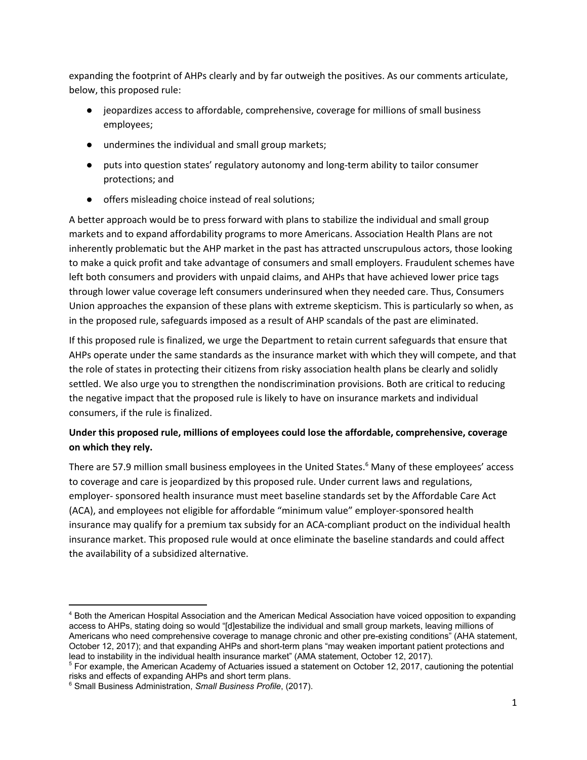expanding the footprint of AHPs clearly and by far outweigh the positives. As our comments articulate, below, this proposed rule:

- jeopardizes access to affordable, comprehensive, coverage for millions of small business employees;
- undermines the individual and small group markets;
- puts into question states' regulatory autonomy and long-term ability to tailor consumer protections; and
- offers misleading choice instead of real solutions;

A better approach would be to press forward with plans to stabilize the individual and small group markets and to expand affordability programs to more Americans. Association Health Plans are not inherently problematic but the AHP market in the past has attracted unscrupulous actors, those looking to make a quick profit and take advantage of consumers and small employers. Fraudulent schemes have left both consumers and providers with unpaid claims, and AHPs that have achieved lower price tags through lower value coverage left consumers underinsured when they needed care. Thus, Consumers Union approaches the expansion of these plans with extreme skepticism. This is particularly so when, as in the proposed rule, safeguards imposed as a result of AHP scandals of the past are eliminated.

If this proposed rule is finalized, we urge the Department to retain current safeguards that ensure that AHPs operate under the same standards as the insurance market with which they will compete, and that the role of states in protecting their citizens from risky association health plans be clearly and solidly settled. We also urge you to strengthen the nondiscrimination provisions. Both are critical to reducing the negative impact that the proposed rule is likely to have on insurance markets and individual consumers, if the rule is finalized.

## **Under this proposed rule, millions of employees could lose the affordable, comprehensive, coverage on which they rely.**

There are 57.9 million small business employees in the United States.<sup>6</sup> Many of these employees' access to coverage and care is jeopardized by this proposed rule. Under current laws and regulations, employer- sponsored health insurance must meet baseline standards set by the Affordable Care Act (ACA), and employees not eligible for affordable "minimum value" employer-sponsored health insurance may qualify for a premium tax subsidy for an ACA-compliant product on the individual health insurance market. This proposed rule would at once eliminate the baseline standards and could affect the availability of a subsidized alternative.

<sup>4</sup> Both the American Hospital Association and the American Medical Association have voiced opposition to expanding access to AHPs, stating doing so would "[d]estabilize the individual and small group markets, leaving millions of Americans who need comprehensive coverage to manage chronic and other pre-existing conditions" (AHA statement, October 12, 2017); and that expanding AHPs and short-term plans "may weaken important patient protections and lead to instability in the individual health insurance market" (AMA statement, October 12, 2017).

<sup>&</sup>lt;sup>5</sup> For example, the American Academy of Actuaries issued a statement on October 12, 2017, cautioning the potential risks and effects of expanding AHPs and short term plans.

<sup>6</sup> Small Business Administration, *Small Business Profile*, (2017).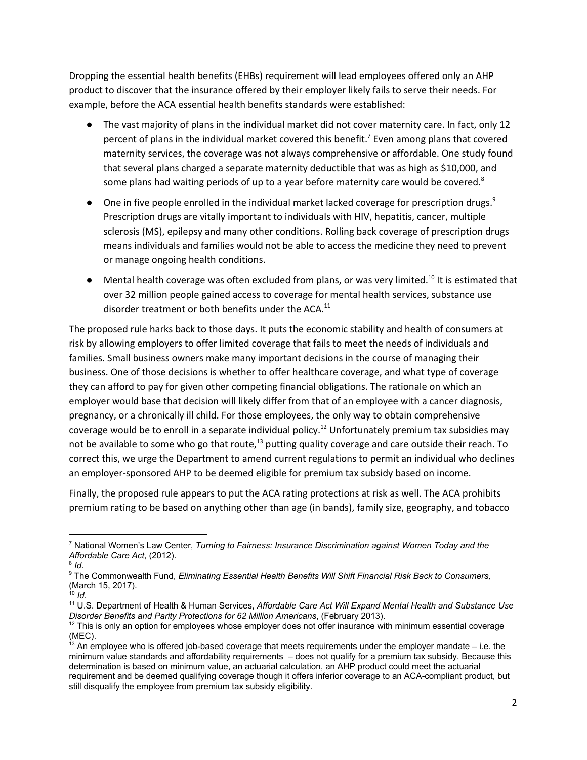Dropping the essential health benefits (EHBs) requirement will lead employees offered only an AHP product to discover that the insurance offered by their employer likely fails to serve their needs. For example, before the ACA essential health benefits standards were established:

- The vast majority of plans in the individual market did not cover maternity care. In fact, only 12 percent of plans in the individual market covered this benefit.<sup>7</sup> Even among plans that covered maternity services, the coverage was not always comprehensive or affordable. One study found that several plans charged a separate maternity deductible that was as high as \$10,000, and some plans had waiting periods of up to a year before maternity care would be covered.<sup>8</sup>
- One in five people enrolled in the individual market lacked coverage for prescription drugs.<sup>9</sup> Prescription drugs are vitally important to individuals with HIV, hepatitis, cancer, multiple sclerosis (MS), epilepsy and many other conditions. Rolling back coverage of prescription drugs means individuals and families would not be able to access the medicine they need to prevent or manage ongoing health conditions.
- $\bullet$  Mental health coverage was often excluded from plans, or was very limited.<sup>10</sup> It is estimated that over 32 million people gained access to coverage for mental health services, substance use disorder treatment or both benefits under the ACA.<sup>11</sup>

The proposed rule harks back to those days. It puts the economic stability and health of consumers at risk by allowing employers to offer limited coverage that fails to meet the needs of individuals and families. Small business owners make many important decisions in the course of managing their business. One of those decisions is whether to offer healthcare coverage, and what type of coverage they can afford to pay for given other competing financial obligations. The rationale on which an employer would base that decision will likely differ from that of an employee with a cancer diagnosis, pregnancy, or a chronically ill child. For those employees, the only way to obtain comprehensive coverage would be to enroll in a separate individual policy.<sup>12</sup> Unfortunately premium tax subsidies may not be available to some who go that route, $^{13}$  putting quality coverage and care outside their reach. To correct this, we urge the Department to amend current regulations to permit an individual who declines an employer-sponsored AHP to be deemed eligible for premium tax subsidy based on income.

Finally, the proposed rule appears to put the ACA rating protections at risk as well. The ACA prohibits premium rating to be based on anything other than age (in bands), family size, geography, and tobacco

<sup>7</sup> National Women's Law Center, *Turning to Fairness: Insurance Discrimination against Women Today and the Affordable Care Act*, (2012).

<sup>8</sup> *Id*.

<sup>9</sup> The Commonwealth Fund, *Eliminating Essential Health Benefits Will Shift Financial Risk Back to Consumers,* (March 15, 2017).

<sup>10</sup> *Id*.

<sup>11</sup> U.S. Department of Health & Human Services, *Affordable Care Act Will Expand Mental Health and Substance Use Disorder Benefits and Parity Protections for 62 Million Americans*, (February 2013).

 $12$  This is only an option for employees whose employer does not offer insurance with minimum essential coverage (MEC).

 $13$  An employee who is offered job-based coverage that meets requirements under the employer mandate  $-$  i.e. the minimum value standards and affordability requirements – does not qualify for a premium tax subsidy. Because this determination is based on minimum value, an actuarial calculation, an AHP product could meet the actuarial requirement and be deemed qualifying coverage though it offers inferior coverage to an ACA-compliant product, but still disqualify the employee from premium tax subsidy eligibility.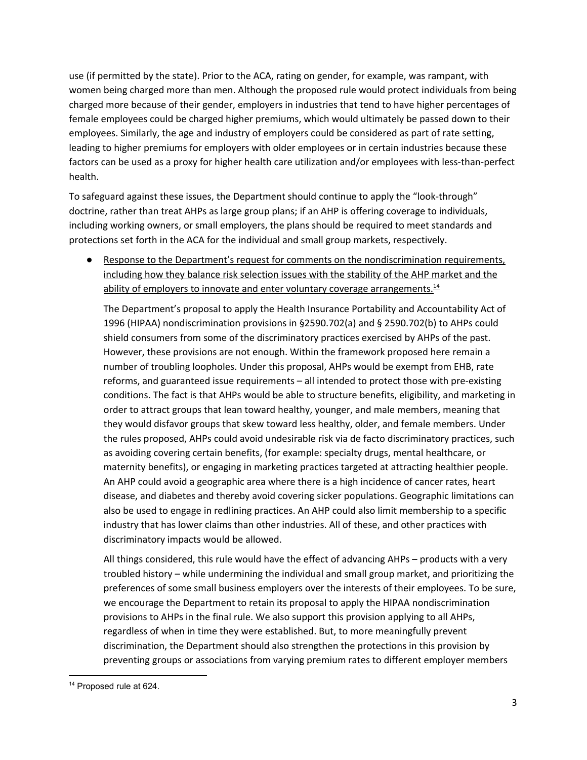use (if permitted by the state). Prior to the ACA, rating on gender, for example, was rampant, with women being charged more than men. Although the proposed rule would protect individuals from being charged more because of their gender, employers in industries that tend to have higher percentages of female employees could be charged higher premiums, which would ultimately be passed down to their employees. Similarly, the age and industry of employers could be considered as part of rate setting, leading to higher premiums for employers with older employees or in certain industries because these factors can be used as a proxy for higher health care utilization and/or employees with less-than-perfect health.

To safeguard against these issues, the Department should continue to apply the "look-through" doctrine, rather than treat AHPs as large group plans; if an AHP is offering coverage to individuals, including working owners, or small employers, the plans should be required to meet standards and protections set forth in the ACA for the individual and small group markets, respectively.

Response to the Department's request for comments on the nondiscrimination requirements, including how they balance risk selection issues with the stability of the AHP market and the ability of employers to innovate and enter voluntary coverage arrangements.<sup>14</sup>

The Department's proposal to apply the Health Insurance Portability and Accountability Act of 1996 (HIPAA) nondiscrimination provisions in §2590.702(a) and § 2590.702(b) to AHPs could shield consumers from some of the discriminatory practices exercised by AHPs of the past. However, these provisions are not enough. Within the framework proposed here remain a number of troubling loopholes. Under this proposal, AHPs would be exempt from EHB, rate reforms, and guaranteed issue requirements – all intended to protect those with pre-existing conditions. The fact is that AHPs would be able to structure benefits, eligibility, and marketing in order to attract groups that lean toward healthy, younger, and male members, meaning that they would disfavor groups that skew toward less healthy, older, and female members. Under the rules proposed, AHPs could avoid undesirable risk via de facto discriminatory practices, such as avoiding covering certain benefits, (for example: specialty drugs, mental healthcare, or maternity benefits), or engaging in marketing practices targeted at attracting healthier people. An AHP could avoid a geographic area where there is a high incidence of cancer rates, heart disease, and diabetes and thereby avoid covering sicker populations. Geographic limitations can also be used to engage in redlining practices. An AHP could also limit membership to a specific industry that has lower claims than other industries. All of these, and other practices with discriminatory impacts would be allowed.

All things considered, this rule would have the effect of advancing AHPs – products with a very troubled history – while undermining the individual and small group market, and prioritizing the preferences of some small business employers over the interests of their employees. To be sure, we encourage the Department to retain its proposal to apply the HIPAA nondiscrimination provisions to AHPs in the final rule. We also support this provision applying to all AHPs, regardless of when in time they were established. But, to more meaningfully prevent discrimination, the Department should also strengthen the protections in this provision by preventing groups or associations from varying premium rates to different employer members

<sup>&</sup>lt;sup>14</sup> Proposed rule at 624.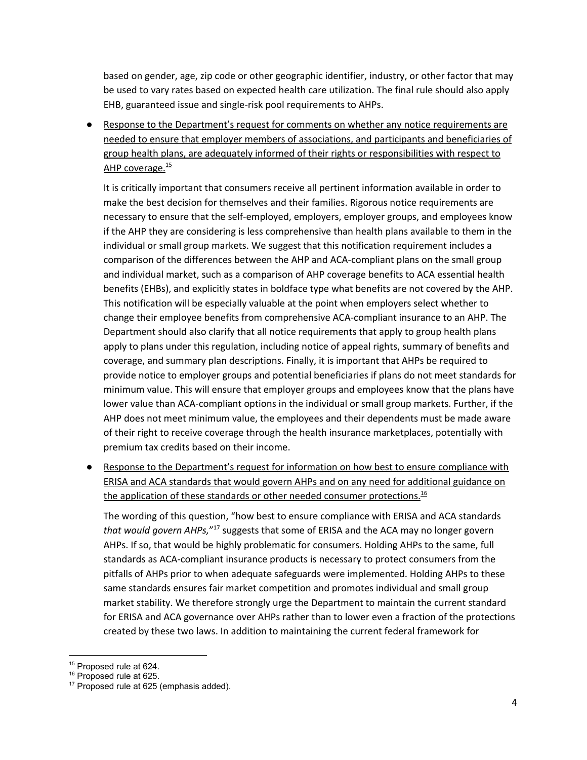based on gender, age, zip code or other geographic identifier, industry, or other factor that may be used to vary rates based on expected health care utilization. The final rule should also apply EHB, guaranteed issue and single-risk pool requirements to AHPs.

Response to the Department's request for comments on whether any notice requirements are needed to ensure that employer members of associations, and participants and beneficiaries of group health plans, are adequately informed of their rights or responsibilities with respect to AHP coverage.<sup>15</sup>

It is critically important that consumers receive all pertinent information available in order to make the best decision for themselves and their families. Rigorous notice requirements are necessary to ensure that the self-employed, employers, employer groups, and employees know if the AHP they are considering is less comprehensive than health plans available to them in the individual or small group markets. We suggest that this notification requirement includes a comparison of the differences between the AHP and ACA-compliant plans on the small group and individual market, such as a comparison of AHP coverage benefits to ACA essential health benefits (EHBs), and explicitly states in boldface type what benefits are not covered by the AHP. This notification will be especially valuable at the point when employers select whether to change their employee benefits from comprehensive ACA-compliant insurance to an AHP. The Department should also clarify that all notice requirements that apply to group health plans apply to plans under this regulation, including notice of appeal rights, summary of benefits and coverage, and summary plan descriptions. Finally, it is important that AHPs be required to provide notice to employer groups and potential beneficiaries if plans do not meet standards for minimum value. This will ensure that employer groups and employees know that the plans have lower value than ACA-compliant options in the individual or small group markets. Further, if the AHP does not meet minimum value, the employees and their dependents must be made aware of their right to receive coverage through the health insurance marketplaces, potentially with premium tax credits based on their income.

● Response to the Department's request for information on how best to ensure compliance with ERISA and ACA standards that would govern AHPs and on any need for additional guidance on the application of these standards or other needed consumer protections.<sup>16</sup>

The wording of this question, "how best to ensure compliance with ERISA and ACA standards that would govern AHPs,"<sup>17</sup> suggests that some of ERISA and the ACA may no longer govern AHPs. If so, that would be highly problematic for consumers. Holding AHPs to the same, full standards as ACA-compliant insurance products is necessary to protect consumers from the pitfalls of AHPs prior to when adequate safeguards were implemented. Holding AHPs to these same standards ensures fair market competition and promotes individual and small group market stability. We therefore strongly urge the Department to maintain the current standard for ERISA and ACA governance over AHPs rather than to lower even a fraction of the protections created by these two laws. In addition to maintaining the current federal framework for

<sup>&</sup>lt;sup>15</sup> Proposed rule at 624.

<sup>&</sup>lt;sup>16</sup> Proposed rule at 625.

<sup>&</sup>lt;sup>17</sup> Proposed rule at 625 (emphasis added).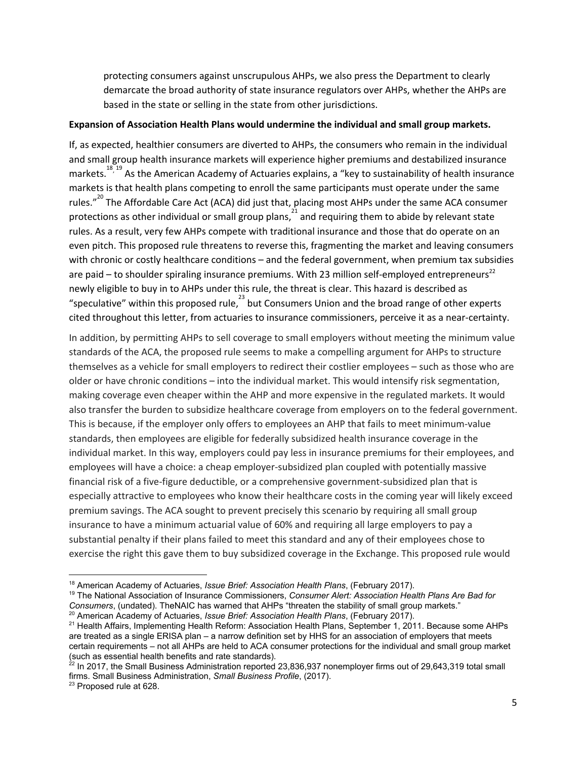protecting consumers against unscrupulous AHPs, we also press the Department to clearly demarcate the broad authority of state insurance regulators over AHPs, whether the AHPs are based in the state or selling in the state from other jurisdictions.

#### **Expansion of Association Health Plans would undermine the individual and small group markets.**

If, as expected, healthier consumers are diverted to AHPs, the consumers who remain in the individual and small group health insurance markets will experience higher premiums and destabilized insurance markets. <sup>18, 19</sup> As the American Academy of Actuaries explains, a "key to sustainability of health insurance markets is that health plans competing to enroll the same participants must operate under the same rules."<sup>20</sup> The Affordable Care Act (ACA) did just that, placing most AHPs under the same ACA consumer protections as other individual or small group plans, $^{21}$  and requiring them to abide by relevant state rules. As a result, very few AHPs compete with traditional insurance and those that do operate on an even pitch. This proposed rule threatens to reverse this, fragmenting the market and leaving consumers with chronic or costly healthcare conditions – and the federal government, when premium tax subsidies are paid – to shoulder spiraling insurance premiums. With 23 million self-employed entrepreneurs<sup>22</sup> newly eligible to buy in to AHPs under this rule, the threat is clear. This hazard is described as "speculative" within this proposed rule, $^{23}$  but Consumers Union and the broad range of other experts cited throughout this letter, from actuaries to insurance commissioners, perceive it as a near-certainty.

In addition, by permitting AHPs to sell coverage to small employers without meeting the minimum value standards of the ACA, the proposed rule seems to make a compelling argument for AHPs to structure themselves as a vehicle for small employers to redirect their costlier employees – such as those who are older or have chronic conditions – into the individual market. This would intensify risk segmentation, making coverage even cheaper within the AHP and more expensive in the regulated markets. It would also transfer the burden to subsidize healthcare coverage from employers on to the federal government. This is because, if the employer only offers to employees an AHP that fails to meet minimum-value standards, then employees are eligible for federally subsidized health insurance coverage in the individual market. In this way, employers could pay less in insurance premiums for their employees, and employees will have a choice: a cheap employer-subsidized plan coupled with potentially massive financial risk of a five-figure deductible, or a comprehensive government-subsidized plan that is especially attractive to employees who know their healthcare costs in the coming year will likely exceed premium savings. The ACA sought to prevent precisely this scenario by requiring all small group insurance to have a minimum actuarial value of 60% and requiring all large employers to pay a substantial penalty if their plans failed to meet this standard and any of their employees chose to exercise the right this gave them to buy subsidized coverage in the Exchange. This proposed rule would

<sup>&</sup>lt;sup>18</sup> American Academy of Actuaries, *Issue Brief: Association Health Plans*, (February 2017).

<sup>19</sup> The National Association of Insurance Commissioners, *Consumer Alert: Association Health Plans Are Bad for Consumers*, (undated). TheNAIC has warned that AHPs "threaten the stability of small group markets." 20 American Academy of Actuaries, *Issue Brief: Association Health Plans*, (February 2017).

<sup>&</sup>lt;sup>21</sup> Health Affairs, Implementing Health Reform: Association Health Plans, September 1, 2011. Because some AHPs are treated as a single ERISA plan – a narrow definition set by HHS for an association of employers that meets certain requirements – not all AHPs are held to ACA consumer protections for the individual and small group market

<sup>(</sup>such as essential health benefits and rate standards).<br><sup>22</sup> In 2017, the Small Business Administration reported 23,836,937 nonemployer firms out of 29,643,319 total small firms. Small Business Administration, *Small Business Profile*, (2017).

<sup>&</sup>lt;sup>23</sup> Proposed rule at 628.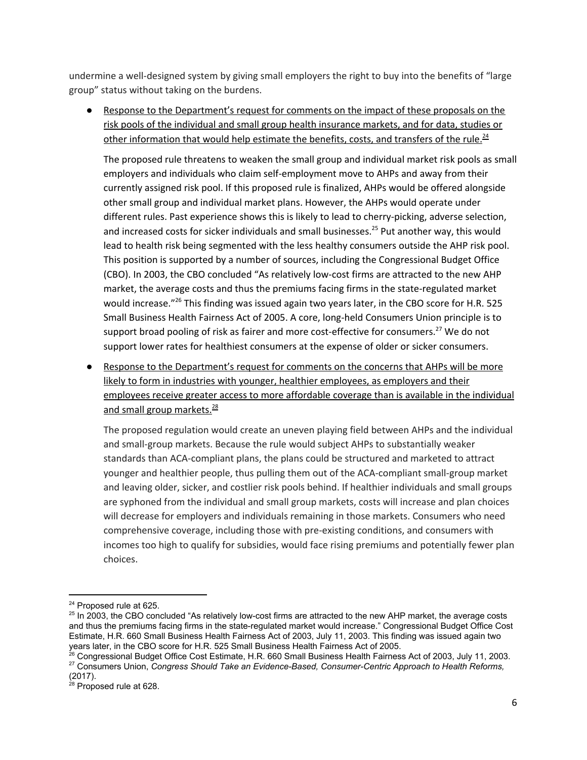undermine a well-designed system by giving small employers the right to buy into the benefits of "large group" status without taking on the burdens.

● Response to the Department's request for comments on the impact of these proposals on the risk pools of the individual and small group health insurance markets, and for data, studies or other information that would help estimate the benefits, costs, and transfers of the rule.<sup>24</sup>

The proposed rule threatens to weaken the small group and individual market risk pools as small employers and individuals who claim self-employment move to AHPs and away from their currently assigned risk pool. If this proposed rule is finalized, AHPs would be offered alongside other small group and individual market plans. However, the AHPs would operate under different rules. Past experience shows this is likely to lead to cherry-picking, adverse selection, and increased costs for sicker individuals and small businesses.<sup>25</sup> Put another way, this would lead to health risk being segmented with the less healthy consumers outside the AHP risk pool. This position is supported by a number of sources, including the Congressional Budget Office (CBO). In 2003, the CBO concluded "As relatively low-cost firms are attracted to the new AHP market, the average costs and thus the premiums facing firms in the state-regulated market would increase."<sup>26</sup> This finding was issued again two years later, in the CBO score for H.R. 525 Small Business Health Fairness Act of 2005. A core, long-held Consumers Union principle is to support broad pooling of risk as fairer and more cost-effective for consumers.<sup>27</sup> We do not support lower rates for healthiest consumers at the expense of older or sicker consumers.

Response to the Department's request for comments on the concerns that AHPs will be more likely to form in industries with younger, healthier employees, as employers and their employees receive greater access to more affordable coverage than is available in the individual and small group markets.<sup>28</sup>

The proposed regulation would create an uneven playing field between AHPs and the individual and small-group markets. Because the rule would subject AHPs to substantially weaker standards than ACA-compliant plans, the plans could be structured and marketed to attract younger and healthier people, thus pulling them out of the ACA-compliant small-group market and leaving older, sicker, and costlier risk pools behind. If healthier individuals and small groups are syphoned from the individual and small group markets, costs will increase and plan choices will decrease for employers and individuals remaining in those markets. Consumers who need comprehensive coverage, including those with pre-existing conditions, and consumers with incomes too high to qualify for subsidies, would face rising premiums and potentially fewer plan choices.

<sup>&</sup>lt;sup>24</sup> Proposed rule at 625.

<sup>&</sup>lt;sup>25</sup> In 2003, the CBO concluded "As relatively low-cost firms are attracted to the new AHP market, the average costs and thus the premiums facing firms in the state-regulated market would increase." Congressional Budget Office Cost Estimate, H.R. 660 Small Business Health Fairness Act of 2003, July 11, 2003. This finding was issued again two years later, in the CBO score for H.R. 525 Small Business Health Fairness Act of 2005.<br><sup>26</sup> Congressional Budget Office Cost Estimate, H.R. 660 Small Business Health Fairness Act of 2003, July 11, 2003.

<sup>27</sup> Consumers Union, *Congress Should Take an Evidence-Based, Consumer-Centric Approach to Health Reforms,* (2017).

<sup>&</sup>lt;sup>28</sup> Proposed rule at 628.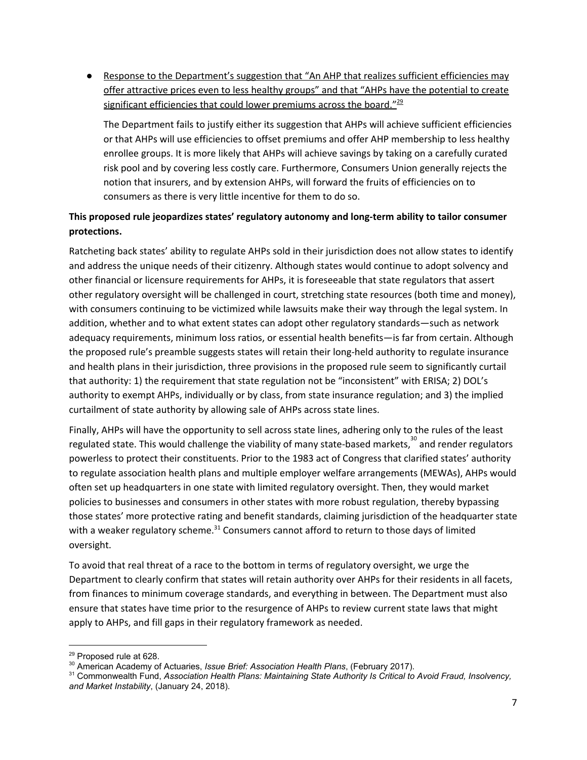● Response to the Department's suggestion that "An AHP that realizes sufficient efficiencies may offer attractive prices even to less healthy groups" and that "AHPs have the potential to create significant efficiencies that could lower premiums across the board."<sup>29</sup>

The Department fails to justify either its suggestion that AHPs will achieve sufficient efficiencies or that AHPs will use efficiencies to offset premiums and offer AHP membership to less healthy enrollee groups. It is more likely that AHPs will achieve savings by taking on a carefully curated risk pool and by covering less costly care. Furthermore, Consumers Union generally rejects the notion that insurers, and by extension AHPs, will forward the fruits of efficiencies on to consumers as there is very little incentive for them to do so.

## **This proposed rule jeopardizes states' regulatory autonomy and long-term ability to tailor consumer protections.**

Ratcheting back states' ability to regulate AHPs sold in their jurisdiction does not allow states to identify and address the unique needs of their citizenry. Although states would continue to adopt solvency and other financial or licensure requirements for AHPs, it is foreseeable that state regulators that assert other regulatory oversight will be challenged in court, stretching state resources (both time and money), with consumers continuing to be victimized while lawsuits make their way through the legal system. In addition, whether and to what extent states can adopt other regulatory standards—such as network adequacy requirements, minimum loss ratios, or essential health benefits—is far from certain. Although the proposed rule's preamble suggests states will retain their long-held authority to regulate insurance and health plans in their jurisdiction, three provisions in the proposed rule seem to significantly curtail that authority: 1) the requirement that state regulation not be "inconsistent" with ERISA; 2) DOL's authority to exempt AHPs, individually or by class, from state insurance regulation; and 3) the implied curtailment of state authority by allowing sale of AHPs across state lines.

Finally, AHPs will have the opportunity to sell across state lines, adhering only to the rules of the least regulated state. This would challenge the viability of many state-based markets, $^{30}$  and render regulators powerless to protect their constituents. Prior to the 1983 act of Congress that clarified states' authority to regulate association health plans and multiple employer welfare arrangements (MEWAs), AHPs would often set up headquarters in one state with limited regulatory oversight. Then, they would market policies to businesses and consumers in other states with more robust regulation, thereby bypassing those states' more protective rating and benefit standards, claiming jurisdiction of the headquarter state with a weaker regulatory scheme. $^{31}$  Consumers cannot afford to return to those days of limited oversight.

To avoid that real threat of a race to the bottom in terms of regulatory oversight, we urge the Department to clearly confirm that states will retain authority over AHPs for their residents in all facets, from finances to minimum coverage standards, and everything in between. The Department must also ensure that states have time prior to the resurgence of AHPs to review current state laws that might apply to AHPs, and fill gaps in their regulatory framework as needed.

<sup>&</sup>lt;sup>29</sup> Proposed rule at 628.

<sup>30</sup> American Academy of Actuaries, *Issue Brief: Association Health Plans*, (February 2017).

<sup>31</sup> Commonwealth Fund, *Association Health Plans: Maintaining State Authority Is Critical to Avoid Fraud, Insolvency, and Market Instability*, (January 24, 2018).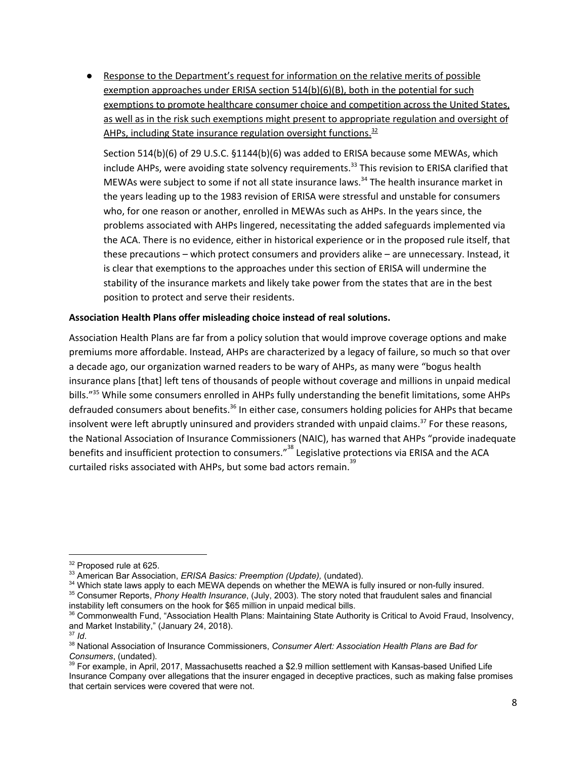Response to the Department's request for information on the relative merits of possible exemption approaches under ERISA section 514(b)(6)(B), both in the potential for such exemptions to promote healthcare consumer choice and competition across the United States, as well as in the risk such exemptions might present to appropriate regulation and oversight of AHPs, including State insurance regulation oversight functions.<sup>32</sup>

Section 514(b)(6) of 29 U.S.C. §1144(b)(6) was added to ERISA because some MEWAs, which include AHPs, were avoiding state solvency requirements.<sup>33</sup> This revision to ERISA clarified that MEWAs were subject to some if not all state insurance laws.<sup>34</sup> The health insurance market in the years leading up to the 1983 revision of ERISA were stressful and unstable for consumers who, for one reason or another, enrolled in MEWAs such as AHPs. In the years since, the problems associated with AHPs lingered, necessitating the added safeguards implemented via the ACA. There is no evidence, either in historical experience or in the proposed rule itself, that these precautions – which protect consumers and providers alike – are unnecessary. Instead, it is clear that exemptions to the approaches under this section of ERISA will undermine the stability of the insurance markets and likely take power from the states that are in the best position to protect and serve their residents.

#### **Association Health Plans offer misleading choice instead of real solutions.**

Association Health Plans are far from a policy solution that would improve coverage options and make premiums more affordable. Instead, AHPs are characterized by a legacy of failure, so much so that over a decade ago, our organization warned readers to be wary of AHPs, as many were "bogus health insurance plans [that] left tens of thousands of people without coverage and millions in unpaid medical bills."<sup>35</sup> While some consumers enrolled in AHPs fully understanding the benefit limitations, some AHPs defrauded consumers about benefits.<sup>36</sup> In either case, consumers holding policies for AHPs that became insolvent were left abruptly uninsured and providers stranded with unpaid claims.<sup>37</sup> For these reasons, the National Association of Insurance Commissioners (NAIC), has warned that AHPs "provide inadequate benefits and insufficient protection to consumers."<sup>38</sup> Legislative protections via ERISA and the ACA curtailed risks associated with AHPs, but some bad actors remain. 39

<sup>&</sup>lt;sup>32</sup> Proposed rule at 625.

<sup>33</sup> American Bar Association, *ERISA Basics: Preemption (Update),* (undated).

<sup>&</sup>lt;sup>34</sup> Which state laws apply to each MEWA depends on whether the MEWA is fully insured or non-fully insured.

<sup>35</sup> Consumer Reports, *Phony Health Insurance*, (July, 2003). The story noted that fraudulent sales and financial instability left consumers on the hook for \$65 million in unpaid medical bills.

<sup>&</sup>lt;sup>36</sup> Commonwealth Fund, "Association Health Plans: Maintaining State Authority is Critical to Avoid Fraud, Insolvency, and Market Instability," (January 24, 2018).

<sup>37</sup> *Id*.

<sup>38</sup> National Association of Insurance Commissioners, *Consumer Alert: Association Health Plans are Bad for Consumers*, (undated).

 $39$  For example, in April, 2017, Massachusetts reached a \$2.9 million settlement with Kansas-based Unified Life Insurance Company over allegations that the insurer engaged in deceptive practices, such as making false promises that certain services were covered that were not.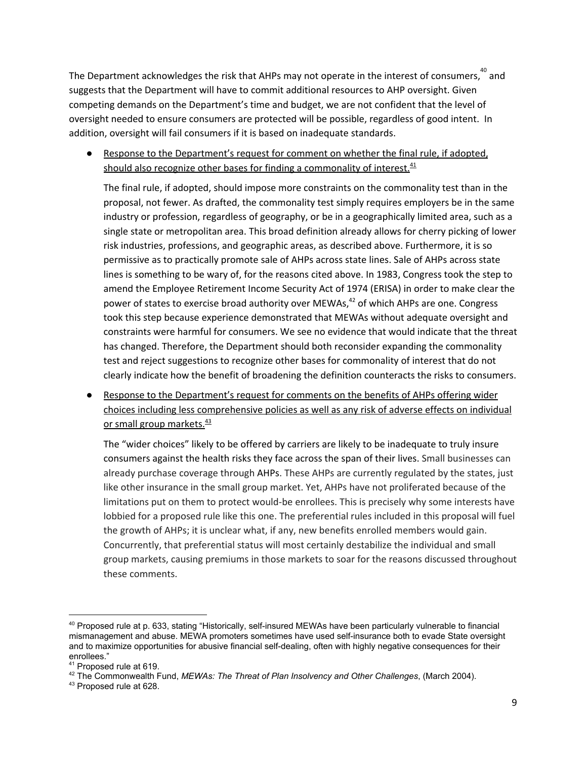The Department acknowledges the risk that AHPs may not operate in the interest of consumers,  $^{40}$  and suggests that the Department will have to commit additional resources to AHP oversight. Given competing demands on the Department's time and budget, we are not confident that the level of oversight needed to ensure consumers are protected will be possible, regardless of good intent. In addition, oversight will fail consumers if it is based on inadequate standards.

● Response to the Department's request for comment on whether the final rule, if adopted, should also recognize other bases for finding a commonality of interest.<sup>41</sup>

The final rule, if adopted, should impose more constraints on the commonality test than in the proposal, not fewer. As drafted, the commonality test simply requires employers be in the same industry or profession, regardless of geography, or be in a geographically limited area, such as a single state or metropolitan area. This broad definition already allows for cherry picking of lower risk industries, professions, and geographic areas, as described above. Furthermore, it is so permissive as to practically promote sale of AHPs across state lines. Sale of AHPs across state lines is something to be wary of, for the reasons cited above. In 1983, Congress took the step to amend the Employee Retirement Income Security Act of 1974 (ERISA) in order to make clear the power of states to exercise broad authority over MEWAs,<sup>42</sup> of which AHPs are one. Congress took this step because experience demonstrated that MEWAs without adequate oversight and constraints were harmful for consumers. We see no evidence that would indicate that the threat has changed. Therefore, the Department should both reconsider expanding the commonality test and reject suggestions to recognize other bases for commonality of interest that do not clearly indicate how the benefit of broadening the definition counteracts the risks to consumers.

Response to the Department's request for comments on the benefits of AHPs offering wider choices including less comprehensive policies as well as any risk of adverse effects on individual or small group markets.<sup>43</sup>

The "wider choices" likely to be offered by carriers are likely to be inadequate to truly insure consumers against the health risks they face across the span of their lives. Small businesses can already purchase coverage through AHPs. These AHPs are currently regulated by the states, just like other insurance in the small group market. Yet, AHPs have not proliferated because of the limitations put on them to protect would-be enrollees. This is precisely why some interests have lobbied for a proposed rule like this one. The preferential rules included in this proposal will fuel the growth of AHPs; it is unclear what, if any, new benefits enrolled members would gain. Concurrently, that preferential status will most certainly destabilize the individual and small group markets, causing premiums in those markets to soar for the reasons discussed throughout these comments.

<sup>&</sup>lt;sup>40</sup> Proposed rule at p. 633, stating "Historically, self-insured MEWAs have been particularly vulnerable to financial mismanagement and abuse. MEWA promoters sometimes have used self-insurance both to evade State oversight and to maximize opportunities for abusive financial self-dealing, often with highly negative consequences for their enrollees."

<sup>&</sup>lt;sup>41</sup> Proposed rule at 619.

<sup>42</sup> The Commonwealth Fund, *MEWAs: The Threat of Plan Insolvency and Other Challenges*, (March 2004).

<sup>&</sup>lt;sup>43</sup> Proposed rule at 628.